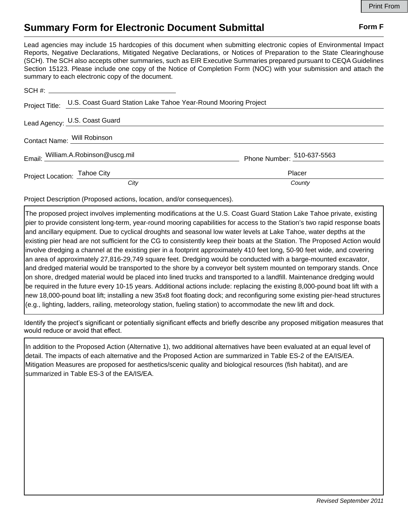## **Summary Form for Electronic Document Submittal Form F Form F**

Lead agencies may include 15 hardcopies of this document when submitting electronic copies of Environmental Impact Reports, Negative Declarations, Mitigated Negative Declarations, or Notices of Preparation to the State Clearinghouse (SCH). The SCH also accepts other summaries, such as EIR Executive Summaries prepared pursuant to CEQA Guidelines Section 15123. Please include one copy of the Notice of Completion Form (NOC) with your submission and attach the summary to each electronic copy of the document.

|                             | Project Title: U.S. Coast Guard Station Lake Tahoe Year-Round Mooring Project |                            |
|-----------------------------|-------------------------------------------------------------------------------|----------------------------|
|                             | Lead Agency: U.S. Coast Guard                                                 |                            |
| Contact Name: Will Robinson |                                                                               |                            |
|                             | Email: William.A.Robinson@uscg.mil                                            | Phone Number: 510-637-5563 |
|                             | Project Location: Tahoe City                                                  | Placer                     |
|                             | City                                                                          | County                     |

Project Description (Proposed actions, location, and/or consequences).

The proposed project involves implementing modifications at the U.S. Coast Guard Station Lake Tahoe private, existing pier to provide consistent long-term, year-round mooring capabilities for access to the Station's two rapid response boats and ancillary equipment. Due to cyclical droughts and seasonal low water levels at Lake Tahoe, water depths at the existing pier head are not sufficient for the CG to consistently keep their boats at the Station. The Proposed Action would involve dredging a channel at the existing pier in a footprint approximately 410 feet long, 50-90 feet wide, and covering an area of approximately 27,816-29,749 square feet. Dredging would be conducted with a barge-mounted excavator, and dredged material would be transported to the shore by a conveyor belt system mounted on temporary stands. Once on shore, dredged material would be placed into lined trucks and transported to a landfill. Maintenance dredging would be required in the future every 10-15 years. Additional actions include: replacing the existing 8,000-pound boat lift with a new 18,000-pound boat lift; installing a new 35x8 foot floating dock; and reconfiguring some existing pier-head structures (e.g., lighting, ladders, railing, meteorology station, fueling station) to accommodate the new lift and dock.

Identify the project's significant or potentially significant effects and briefly describe any proposed mitigation measures that would reduce or avoid that effect.

In addition to the Proposed Action (Alternative 1), two additional alternatives have been evaluated at an equal level of detail. The impacts of each alternative and the Proposed Action are summarized in Table ES-2 of the EA/IS/EA. Mitigation Measures are proposed for aesthetics/scenic quality and biological resources (fish habitat), and are summarized in Table ES-3 of the EA/IS/EA.